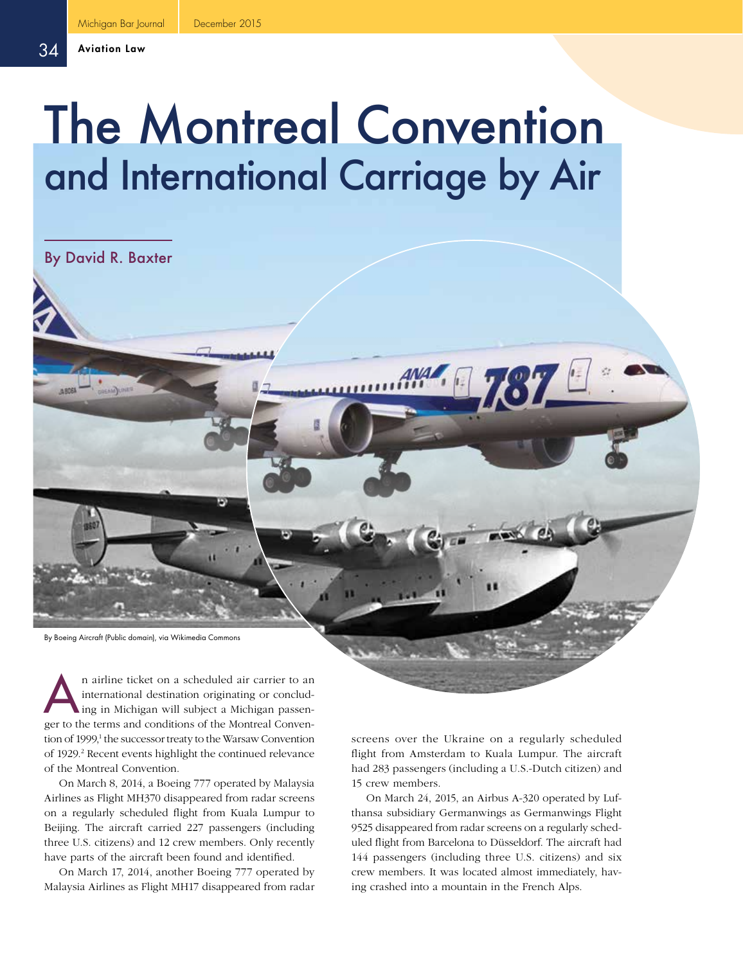# The Montreal Convention and International Carriage by Air

By David R. Baxter

By Boeing Aircraft (Public domain), via Wikimedia Commons

n airline ticket on a scheduled air carrier to an international destination originating or concluding in Michigan will subject a Michigan passeninternational destination originating or concludger to the terms and conditions of the Montreal Convention of 1999,<sup>1</sup> the successor treaty to the Warsaw Convention of 1929.<sup>2</sup> Recent events highlight the continued relevance of the Montreal Convention.

On March 8, 2014, a Boeing 777 operated by Malaysia Airlines as Flight MH370 disappeared from radar screens on a regularly scheduled flight from Kuala Lumpur to Beijing. The aircraft carried 227 passengers (including three U.S. citizens) and 12 crew members. Only recently have parts of the aircraft been found and identified.

On March 17, 2014, another Boeing 777 operated by Malaysia Airlines as Flight MH17 disappeared from radar screens over the Ukraine on a regularly scheduled flight from Amsterdam to Kuala Lumpur. The aircraft had 283 passengers (including a U.S.-Dutch citizen) and 15 crew members.

On March 24, 2015, an Airbus A-320 operated by Lufthansa subsidiary Germanwings as Germanwings Flight 9525 disappeared from radar screens on a regularly scheduled flight from Barcelona to Düsseldorf. The aircraft had 144 passengers (including three U.S. citizens) and six crew members. It was located almost immediately, having crashed into a mountain in the French Alps.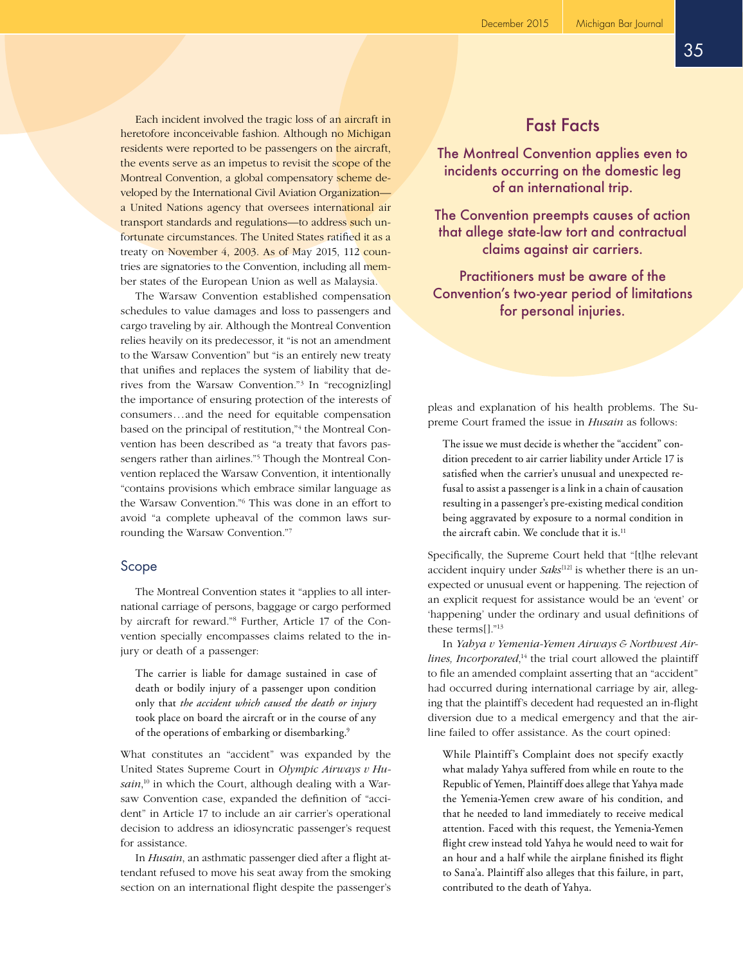Each incident involved the tragic loss of an aircraft in heretofore inconceivable fashion. Although no Michigan residents were reported to be passengers on the aircraft, the events serve as an impetus to revisit the scope of the Montreal Convention, a global compensatory scheme developed by the International Civil Aviation Organization a United Nations agency that oversees international air transport standards and regulations—to address such unfortunate circumstances. The United States ratified it as a treaty on November 4, 2003. As of May 2015, 112 countries are signatories to the Convention, including all member states of the European Union as well as Malaysia.

The Warsaw Convention established compensation schedules to value damages and loss to passengers and cargo traveling by air. Although the Montreal Convention relies heavily on its predecessor, it "is not an amendment to the Warsaw Convention" but "is an entirely new treaty that unifies and replaces the system of liability that derives from the Warsaw Convention."3 In "recogniz[ing] the importance of ensuring protection of the interests of consumers...and the need for equitable compensation based on the principal of restitution,"<sup>4</sup> the Montreal Convention has been described as "a treaty that favors passengers rather than airlines."<sup>5</sup> Though the Montreal Convention replaced the Warsaw Convention, it intentionally "contains provisions which embrace similar language as the Warsaw Convention."6 This was done in an effort to avoid "a complete upheaval of the common laws surrounding the Warsaw Convention."7

# Scope

The Montreal Convention states it "applies to all international carriage of persons, baggage or cargo performed by aircraft for reward."8 Further, Article 17 of the Convention specially encompasses claims related to the injury or death of a passenger:

The carrier is liable for damage sustained in case of death or bodily injury of a passenger upon condition only that *the accident which caused the death or injury* took place on board the aircraft or in the course of any of the operations of embarking or disembarking.<sup>9</sup>

What constitutes an "accident" was expanded by the United States Supreme Court in *Olympic Airways v Husain*, 10 in which the Court, although dealing with a Warsaw Convention case, expanded the definition of "accident" in Article 17 to include an air carrier's operational decision to address an idiosyncratic passenger's request for assistance.

In *Husain*, an asthmatic passenger died after a flight attendant refused to move his seat away from the smoking section on an international flight despite the passenger's

# Fast Facts

The Montreal Convention applies even to incidents occurring on the domestic leg of an international trip.

The Convention preempts causes of action that allege state-law tort and contractual claims against air carriers.

Practitioners must be aware of the Convention's two-year period of limitations for personal injuries.

pleas and explanation of his health problems. The Supreme Court framed the issue in *Husain* as follows:

The issue we must decide is whether the "accident" condition precedent to air carrier liability under Article 17 is satisfied when the carrier's unusual and unexpected refusal to assist a passenger is a link in a chain of causation resulting in a passenger's pre-existing medical condition being aggravated by exposure to a normal condition in the aircraft cabin. We conclude that it is.<sup>11</sup>

Specifically, the Supreme Court held that "[t]he relevant accident inquiry under *Saks*<sup>[12]</sup> is whether there is an unexpected or unusual event or happening. The rejection of an explicit request for assistance would be an 'event' or 'happening' under the ordinary and usual definitions of these terms $[]$ ."<sup>13</sup>

In *Yahya v Yemenia-Yemen Airways & Northwest Air*lines, *Incorporated*,<sup>14</sup> the trial court allowed the plaintiff to file an amended complaint asserting that an "accident" had occurred during international carriage by air, alleging that the plaintiff's decedent had requested an in-flight diversion due to a medical emergency and that the airline failed to offer assistance. As the court opined:

While Plaintiff's Complaint does not specify exactly what malady Yahya suffered from while en route to the Republic of Yemen, Plaintiff does allege that Yahya made the Yemenia-Yemen crew aware of his condition, and that he needed to land immediately to receive medical attention. Faced with this request, the Yemenia-Yemen flight crew instead told Yahya he would need to wait for an hour and a half while the airplane finished its flight to Sana'a. Plaintiff also alleges that this failure, in part, contributed to the death of Yahya.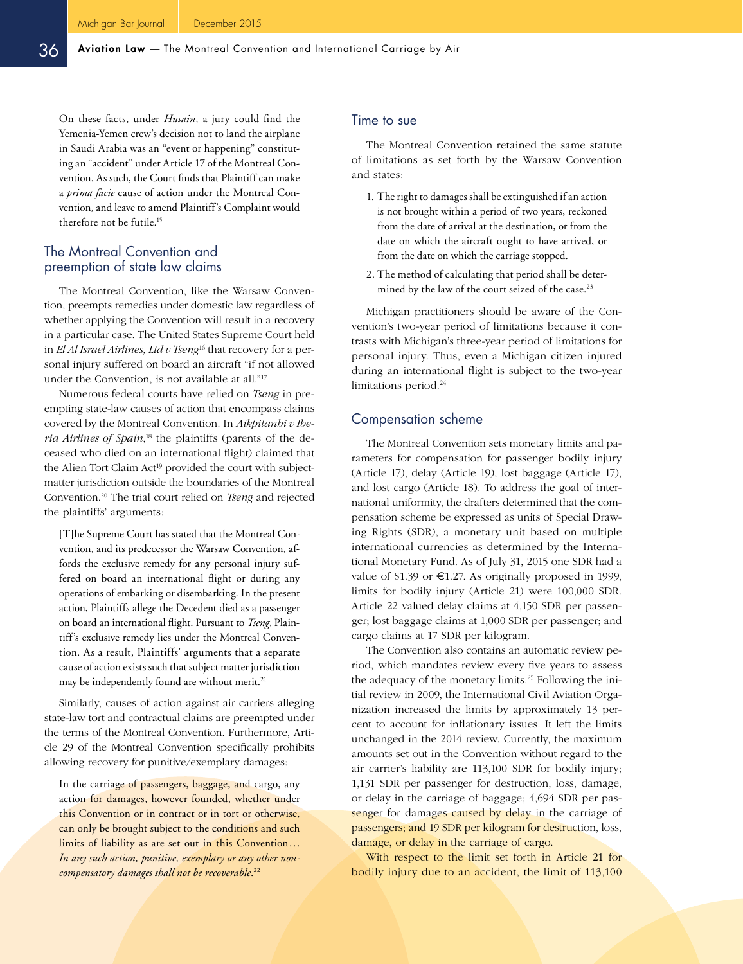On these facts, under *Husain*, a jury could find the Yemenia-Yemen crew's decision not to land the airplane in Saudi Arabia was an "event or happening" constituting an "accident" under Article 17 of the Montreal Convention. As such, the Court finds that Plaintiff can make a *prima facie* cause of action under the Montreal Convention, and leave to amend Plaintiff's Complaint would therefore not be futile.15

# The Montreal Convention and preemption of state law claims

The Montreal Convention, like the Warsaw Convention, preempts remedies under domestic law regardless of whether applying the Convention will result in a recovery in a particular case. The United States Supreme Court held in *El Al Israel Airlines, Ltd v Tseng*16 that recovery for a personal injury suffered on board an aircraft "if not allowed under the Convention, is not available at all."17

Numerous federal courts have relied on *Tseng* in preempting state-law causes of action that encompass claims covered by the Montreal Convention. In *Aikpitanhi v Ibe*ria Airlines of Spain,<sup>18</sup> the plaintiffs (parents of the deceased who died on an international flight) claimed that the Alien Tort Claim Act<sup>19</sup> provided the court with subjectmatter jurisdiction outside the boundaries of the Montreal Convention.20 The trial court relied on *Tseng* and rejected the plaintiffs' arguments:

[T]he Supreme Court has stated that the Montreal Convention, and its predecessor the Warsaw Convention, affords the exclusive remedy for any personal injury suffered on board an international flight or during any operations of embarking or disembarking. In the present action, Plaintiffs allege the Decedent died as a passenger on board an international flight. Pursuant to *Tseng*, Plaintiff's exclusive remedy lies under the Montreal Convention. As a result, Plaintiffs' arguments that a separate cause of action exists such that subject matter jurisdiction may be independently found are without merit.<sup>21</sup>

Similarly, causes of action against air carriers alleging state-law tort and contractual claims are preempted under the terms of the Montreal Convention. Furthermore, Article 29 of the Montreal Convention specifically prohibits allowing recovery for punitive/exemplary damages:

In the carriage of passengers, baggage, and cargo, any action for damages, however founded, whether under this Convention or in contract or in tort or otherwise, can only be brought subject to the conditions and such limits of liability as are set out in this Convention... *In any such action, punitive, exemplary or any other noncompensatory damages shall not be recoverable*. 22

#### Time to sue

The Montreal Convention retained the same statute of limitations as set forth by the Warsaw Convention and states:

- 1. The right to damages shall be extinguished if an action is not brought within a period of two years, reckoned from the date of arrival at the destination, or from the date on which the aircraft ought to have arrived, or from the date on which the carriage stopped.
- 2. The method of calculating that period shall be determined by the law of the court seized of the case.<sup>23</sup>

Michigan practitioners should be aware of the Convention's two-year period of limitations because it contrasts with Michigan's three-year period of limitations for personal injury. Thus, even a Michigan citizen injured during an international flight is subject to the two-year limitations period.<sup>24</sup>

# Compensation scheme

The Montreal Convention sets monetary limits and parameters for compensation for passenger bodily injury (Article 17), delay (Article 19), lost baggage (Article 17), and lost cargo (Article 18). To address the goal of international uniformity, the drafters determined that the compensation scheme be expressed as units of Special Drawing Rights (SDR), a monetary unit based on multiple international currencies as determined by the International Monetary Fund. As of July 31, 2015 one SDR had a value of \$1.39 or  $\epsilon$ 1.27. As originally proposed in 1999, limits for bodily injury (Article 21) were 100,000 SDR. Article 22 valued delay claims at 4,150 SDR per passenger; lost baggage claims at 1,000 SDR per passenger; and cargo claims at 17 SDR per kilogram.

The Convention also contains an automatic review period, which mandates review every five years to assess the adequacy of the monetary limits.<sup>25</sup> Following the initial review in 2009, the International Civil Aviation Organization increased the limits by approximately 13 percent to account for inflationary issues. It left the limits unchanged in the 2014 review. Currently, the maximum amounts set out in the Convention without regard to the air carrier's liability are 113,100 SDR for bodily injury; 1,131 SDR per passenger for destruction, loss, damage, or delay in the carriage of baggage; 4,694 SDR per passenger for damages caused by delay in the carriage of passengers; and 19 SDR per kilogram for destruction, loss, damage, or delay in the carriage of cargo.

With respect to the limit set forth in Article 21 for bodily injury due to an accident, the limit of 113,100